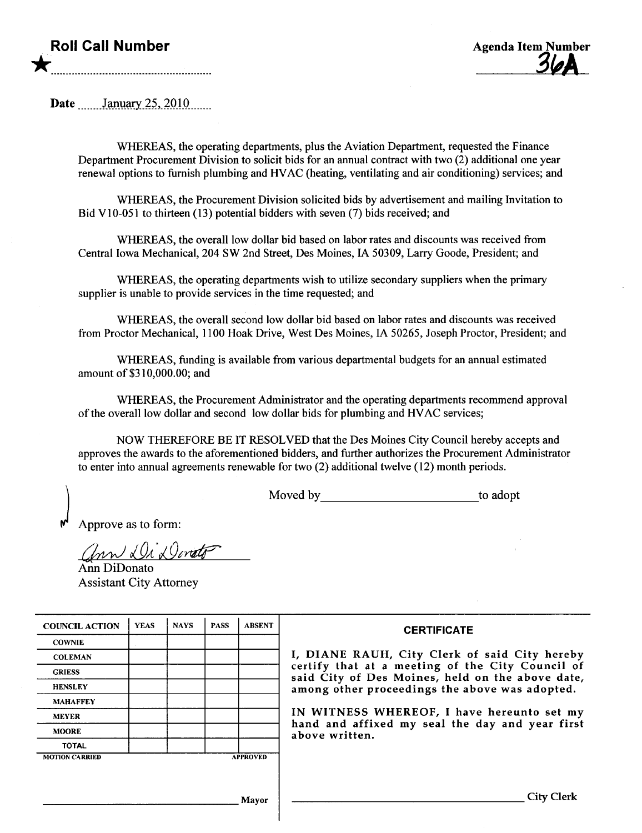## Roll Call Number \*.....................................................................................



Date *January* 25, 2010

WHREAS, the operating departments, plus the Aviation Department, requested the Finance Department Procurement Division to solicit bids for an annual contract with two (2) additional one year renewal options to furnish plumbing and HV AC (heating, ventilating and air conditioning) services; and

WHREAS, the Procurement Division solicited bids by advertisement and mailng Invitation to Bid V10-051 to thirteen  $(13)$  potential bidders with seven  $(7)$  bids received; and

WHREAS, the overall low dollar bid based on labor rates and discounts was received from Central Iowa Mechanical, 204 SW 2nd Street, Des Moines, IA 50309, Larry Goode, President; and

WHEREAS, the operating departments wish to utilize secondary suppliers when the primary supplier is unable to provide services in the time requested; and

WHREAS, the overall second low dollar bid based on labor rates and discounts was received from Proctor Mechanical, 1100 Hoak Drive, West Des Moines, IA 50265, Joseph Proctor, President; and

WHREAS, funding is available from various deparmental budgets for an annual estimated amount of \$31 0,000.00; and

WHEREAS, the Procurement Administrator and the operating departments recommend approval of the overall low dollar and second low dollar bids for plumbing and HV AC services;

NOW THEREFORE BE IT RESOLVED that the Des Moines City Council hereby accepts and approves the awards to the aforementioned bidders, and further authorizes the Procurement Administrator to enter into annual agreements renewable for two (2) additional twelve (12) month periods.

Moved by to adopt

Approve as to form:

ann Di Divato

Assistant City Attorney

| <b>COUNCIL ACTION</b> | <b>YEAS</b> | <b>NAYS</b> | <b>PASS</b> | <b>ABSENT</b>   | <b>CERTIFICATE</b>                                                                                   |
|-----------------------|-------------|-------------|-------------|-----------------|------------------------------------------------------------------------------------------------------|
| <b>COWNIE</b>         |             |             |             |                 |                                                                                                      |
| <b>COLEMAN</b>        |             |             |             |                 | I, DIANE RAUH, City Clerk of said City hereby                                                        |
| <b>GRIESS</b>         |             |             |             |                 | certify that at a meeting of the City Council of<br>said City of Des Moines, held on the above date, |
| <b>HENSLEY</b>        |             |             |             |                 | among other proceedings the above was adopted.                                                       |
| <b>MAHAFFEY</b>       |             |             |             |                 |                                                                                                      |
| <b>MEYER</b>          |             |             |             |                 | IN WITNESS WHEREOF, I have hereunto set my                                                           |
| <b>MOORE</b>          |             |             |             |                 | hand and affixed my seal the day and year first<br>above written.                                    |
| <b>TOTAL</b>          |             |             |             |                 |                                                                                                      |
| <b>MOTION CARRIED</b> |             |             |             | <b>APPROVED</b> |                                                                                                      |
|                       |             |             |             |                 |                                                                                                      |
|                       |             |             |             |                 |                                                                                                      |

Mayor City Clerk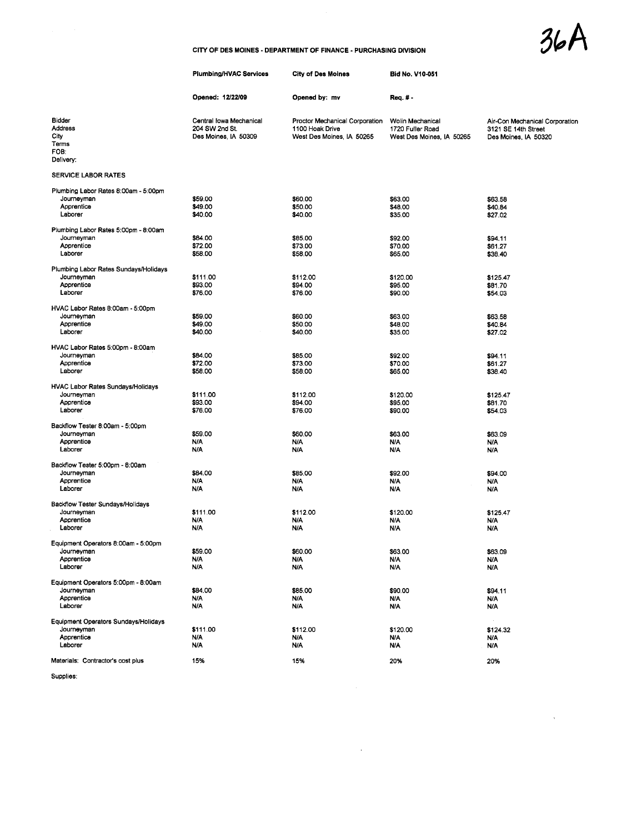$36A$ 

 $\hat{\mathcal{A}}$ 

## CITY OF DES MOINES - DEPARTMENT OF FINANCE - PURCHASING DIVISION

|                                                                              | <b>Plumbing/HVAC Services</b>                                     | <b>City of Des Moines</b>                                                      | <b>Bid No. V10-051</b>                                            |                                                                               |
|------------------------------------------------------------------------------|-------------------------------------------------------------------|--------------------------------------------------------------------------------|-------------------------------------------------------------------|-------------------------------------------------------------------------------|
|                                                                              | Opened: 12/22/09                                                  | Opened by: mv                                                                  | Req. # -                                                          |                                                                               |
| Bidder<br>Address<br>City<br>Terms<br>FOB:<br>Delivery:                      | Central Iowa Mechanical<br>204 SW 2nd St.<br>Des Moines, IA 50309 | Proctor Mechanical Corporation<br>1100 Hoak Drive<br>West Des Moines, IA 50265 | Wolin Mechanical<br>1720 Fuller Road<br>West Des Moines, IA 50265 | Air-Con Mechanical Corporation<br>3121 SE 14th Street<br>Des Moines, IA 50320 |
| <b>SERVICE LABOR RATES</b>                                                   |                                                                   |                                                                                |                                                                   |                                                                               |
| Plumbing Labor Rates 8:00am - 5:00pm<br>Journeyman<br>Apprentice<br>Laborer  | \$59.00<br>\$49.00<br>\$40.00                                     | \$60.00<br>\$50.00<br>\$40.00                                                  | \$63.00<br>\$48.00<br>\$35.00                                     | \$63.58<br>\$40.84<br>\$27.02                                                 |
| Plumbing Labor Rates 5:00pm - 8:00am<br>Journeyman<br>Apprentice<br>Laborer  | \$84.00<br>\$72.00<br>\$58.00                                     | \$85.00<br>\$73.00<br>\$58.00                                                  | \$92.00<br>\$70.00<br>\$65.00                                     | \$94.11<br>\$61.27<br>\$38.40                                                 |
| Plumbing Labor Rates Sundays/Holidays<br>Journeyman<br>Apprentice<br>Laborer | \$111.00<br>\$93.00<br>\$76.00                                    | \$112.00<br>\$94.00<br>\$76.00                                                 | \$120.00<br>\$95.00<br>\$90.00                                    | \$125.47<br>\$81.70<br>\$54.03                                                |
| HVAC Labor Rates 8:00am - 5:00pm<br>Journeyman<br>Apprentice<br>Laborer      | \$59.00<br>\$49.00<br>\$40.00                                     | \$60.00<br>\$50.00<br>\$40.00                                                  | \$63.00<br>\$48.00<br>\$35.00                                     | \$63.58<br>\$40.84<br>\$27.02                                                 |
| HVAC Labor Rates 5:00pm - 8:00am<br>Journeyman<br>Apprentice<br>Laborer      | \$84.00<br>\$72.00<br>\$58.00                                     | \$85.00<br>\$73.00<br>\$58.00                                                  | \$92.00<br>\$70.00<br>\$65.00                                     | \$94.11<br>\$61.27<br>\$38.40                                                 |
| HVAC Labor Rates Sundays/Holidays<br>Journeyman<br>Apprentice<br>Laborer     | \$11100<br>\$93.00<br>\$76.00                                     | \$112.00<br>\$94.00<br>\$76.00                                                 | \$120.00<br>\$95.00<br>\$90.00                                    | \$125.47<br>\$81.70<br>\$54.03                                                |
| Backflow Tester 8:00am - 5:00pm<br>Journeyman<br>Apprentice<br>Laborer       | \$59.00<br>N/A<br><b>N/A</b>                                      | \$60.00<br>N/A<br>N/A                                                          | \$63.00<br>N/A<br>N/A                                             | \$63.09<br>N/A<br>N/A                                                         |
| Backflow Tester 5:00pm - 8:00am<br>Journeyman<br>Apprentice<br>Laborer       | \$84.00<br>N/A<br>N/A                                             | \$85.00<br><b>N/A</b><br><b>N/A</b>                                            | \$92.00<br>N/A<br>N/A                                             | \$94.00<br>N/A<br>N/A                                                         |
| Backflow Tester Sundays/Holidays<br>Journeyman<br>Apprentice<br>Laborer      | \$111.00<br>N/A<br>N/A                                            | \$112.00<br><b>N/A</b><br><b>N/A</b>                                           | \$120.00<br>N/A<br>N/A                                            | \$125.47<br>N/A<br>N/A                                                        |
| Equipment Operators 8:00am - 5:00pm<br>Journeyman<br>Apprentice<br>Laborer   | \$59.00<br>Ν/Α<br>N/A                                             | \$60.00<br><b>N/A</b><br>N/A                                                   | \$63.00<br>N/A<br>N/A                                             | \$63.09<br>N/A<br>N/A                                                         |
| Equipment Operators 5:00pm - 8:00am<br>Journeyman<br>Apprentice<br>Laborer   | \$84.00<br>N/A<br>N/A                                             | \$85.00<br><b>N/A</b><br><b>N/A</b>                                            | \$90.00<br>N/A<br>N/A                                             | \$94.11<br>N/A<br>N/A                                                         |
| Equipment Operators Sundays/Holidays<br>Journeyman<br>Apprentice<br>Laborer  | \$111.00<br>N/A<br>N/A                                            | \$112.00<br>N/A<br><b>N/A</b>                                                  | \$120.00<br>N/A<br>N/A                                            | $\sim$<br>\$124.32<br>N/A<br>N/A                                              |
| Materials: Contractor's cost plus                                            | 15%                                                               | 15%                                                                            | 20%                                                               | 20%                                                                           |
| Supplies:                                                                    |                                                                   |                                                                                |                                                                   |                                                                               |

 $\mathcal{L}(\mathcal{A})$  and  $\mathcal{L}(\mathcal{A})$